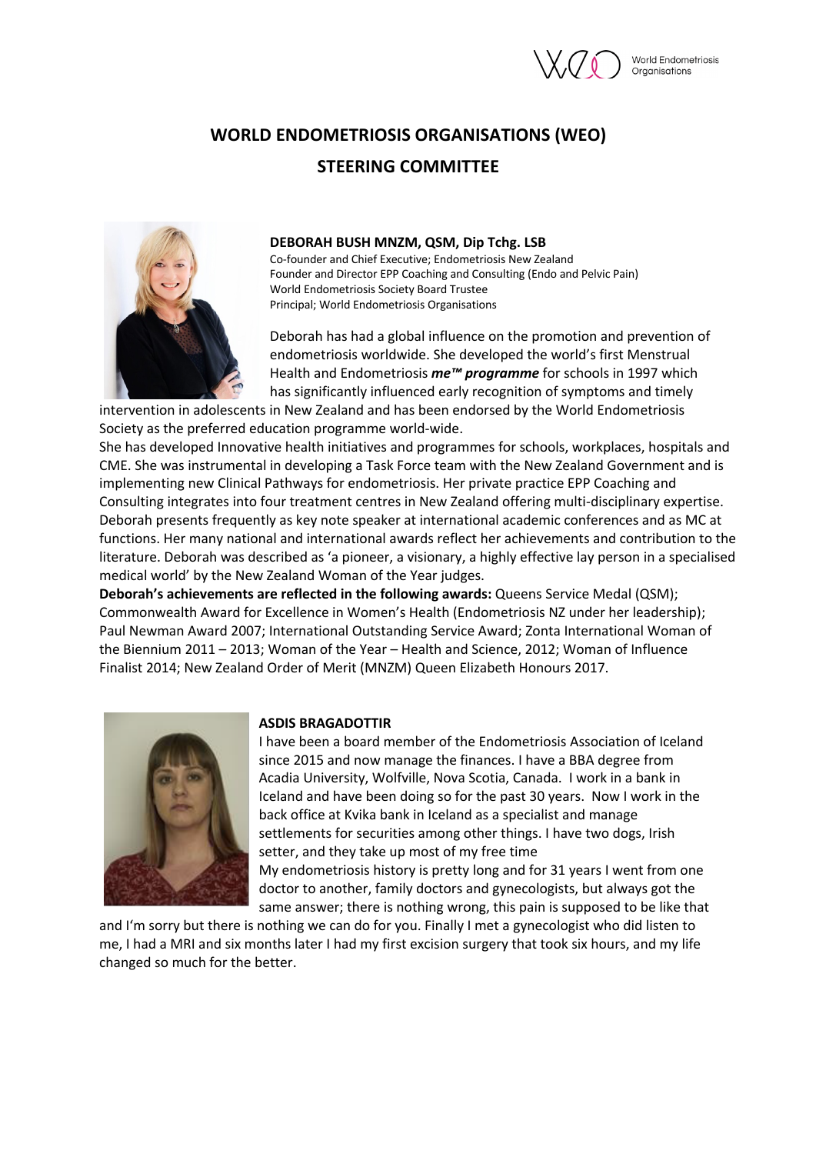

Organisations

# **WORLD ENDOMETRIOSIS ORGANISATIONS (WEO) STEERING COMMITTEE**



### **DEBORAH BUSH MNZM, QSM, Dip Tchg. LSB**

Co-founder and Chief Executive; Endometriosis New Zealand Founder and Director EPP Coaching and Consulting (Endo and Pelvic Pain) World Endometriosis Society Board Trustee Principal; World Endometriosis Organisations

Deborah has had a global influence on the promotion and prevention of endometriosis worldwide. She developed the world's first Menstrual Health and Endometriosis *me™ programme* for schools in 1997 which has significantly influenced early recognition of symptoms and timely

intervention in adolescents in New Zealand and has been endorsed by the World Endometriosis Society as the preferred education programme world-wide.

She has developed Innovative health initiatives and programmes for schools, workplaces, hospitals and CME. She was instrumental in developing a Task Force team with the New Zealand Government and is implementing new Clinical Pathways for endometriosis. Her private practice EPP Coaching and Consulting integrates into four treatment centres in New Zealand offering multi-disciplinary expertise. Deborah presents frequently as key note speaker at international academic conferences and as MC at functions. Her many national and international awards reflect her achievements and contribution to the literature. Deborah was described as 'a pioneer, a visionary, a highly effective lay person in a specialised medical world' by the New Zealand Woman of the Year judges.

**Deborah's achievements are reflected in the following awards:** Queens Service Medal (QSM); Commonwealth Award for Excellence in Women's Health (Endometriosis NZ under her leadership); Paul Newman Award 2007; International Outstanding Service Award; Zonta International Woman of the Biennium 2011 – 2013; Woman of the Year – Health and Science, 2012; Woman of Influence Finalist 2014; New Zealand Order of Merit (MNZM) Queen Elizabeth Honours 2017.



### **ASDIS BRAGADOTTIR**

I have been a board member of the Endometriosis Association of Iceland since 2015 and now manage the finances. I have a BBA degree from Acadia University, Wolfville, Nova Scotia, Canada. I work in a bank in Iceland and have been doing so for the past 30 years. Now I work in the back office at Kvika bank in Iceland as a specialist and manage settlements for securities among other things. I have two dogs, Irish setter, and they take up most of my free time My endometriosis history is pretty long and for 31 years I went from one doctor to another, family doctors and gynecologists, but always got the

same answer; there is nothing wrong, this pain is supposed to be like that

and I'm sorry but there is nothing we can do for you. Finally I met a gynecologist who did listen to me, I had a MRI and six months later I had my first excision surgery that took six hours, and my life changed so much for the better.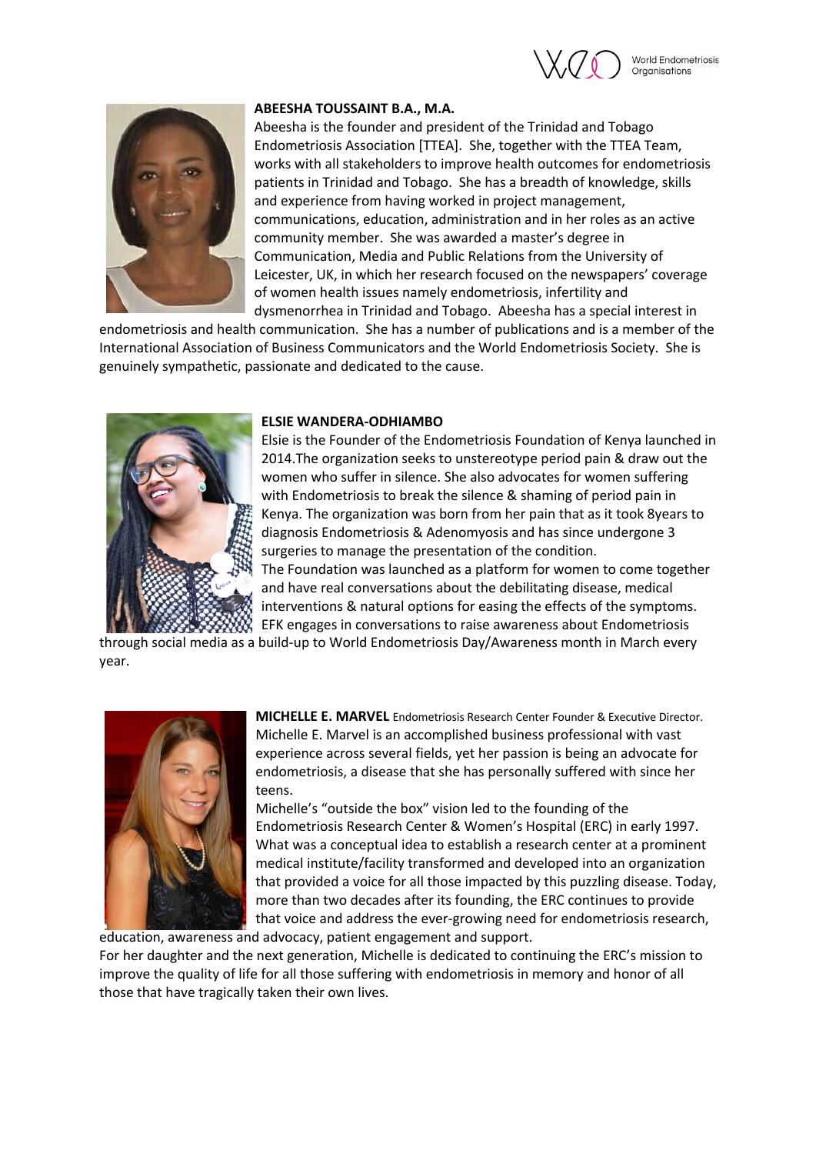



# **ABEESHA TOUSSAINT B.A., M.A.**

Abeesha is the founder and president of the Trinidad and Tobago Endometriosis Association [TTEA]. She, together with the TTEA Team, works with all stakeholders to improve health outcomes for endometriosis patients in Trinidad and Tobago. She has a breadth of knowledge, skills and experience from having worked in project management, communications, education, administration and in her roles as an active community member. She was awarded a master's degree in Communication, Media and Public Relations from the University of Leicester, UK, in which her research focused on the newspapers' coverage of women health issues namely endometriosis, infertility and dysmenorrhea in Trinidad and Tobago. Abeesha has a special interest in

endometriosis and health communication. She has a number of publications and is a member of the International Association of Business Communicators and the World Endometriosis Society. She is genuinely sympathetic, passionate and dedicated to the cause.



## **ELSIE WANDERA-ODHIAMBO**

Elsie is the Founder of the Endometriosis Foundation of Kenya launched in 2014.The organization seeks to unstereotype period pain & draw out the women who suffer in silence. She also advocates for women suffering with Endometriosis to break the silence & shaming of period pain in Kenya. The organization was born from her pain that as it took 8years to diagnosis Endometriosis & Adenomyosis and has since undergone 3 surgeries to manage the presentation of the condition. The Foundation was launched as a platform for women to come together and have real conversations about the debilitating disease, medical interventions & natural options for easing the effects of the symptoms.

EFK engages in conversations to raise awareness about Endometriosis through social media as a build-up to World Endometriosis Day/Awareness month in March every year.



**MICHELLE E. MARVEL** Endometriosis Research Center Founder & Executive Director. Michelle E. Marvel is an accomplished business professional with vast experience across several fields, yet her passion is being an advocate for endometriosis, a disease that she has personally suffered with since her teens.

Michelle's "outside the box" vision led to the founding of the Endometriosis Research Center & Women's Hospital (ERC) in early 1997. What was a conceptual idea to establish a research center at a prominent medical institute/facility transformed and developed into an organization that provided a voice for all those impacted by this puzzling disease. Today, more than two decades after its founding, the ERC continues to provide that voice and address the ever-growing need for endometriosis research,

education, awareness and advocacy, patient engagement and support. For her daughter and the next generation, Michelle is dedicated to continuing the ERC's mission to improve the quality of life for all those suffering with endometriosis in memory and honor of all those that have tragically taken their own lives.